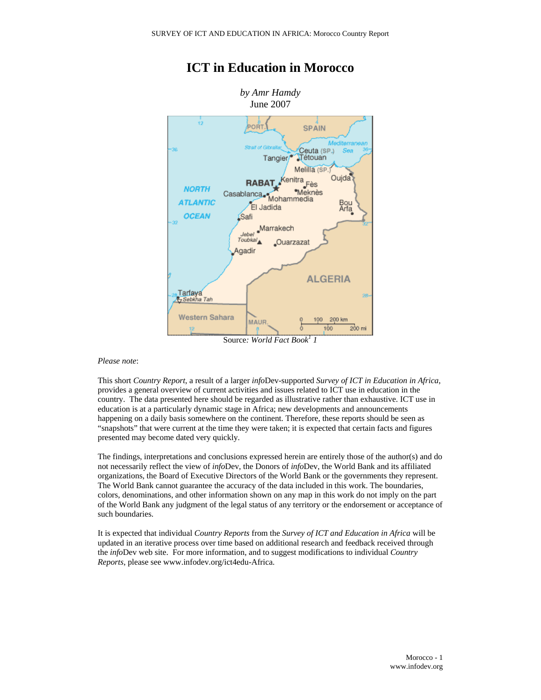

## **ICT in Education in Morocco**

Source: *World Fact Book<sup>1</sup> 1* 

#### *Please note*:

This short *Country Report*, a result of a larger *info*Dev-supported *Survey of ICT in Education in Africa*, provides a general overview of current activities and issues related to ICT use in education in the country. The data presented here should be regarded as illustrative rather than exhaustive. ICT use in education is at a particularly dynamic stage in Africa; new developments and announcements happening on a daily basis somewhere on the continent. Therefore, these reports should be seen as "snapshots" that were current at the time they were taken; it is expected that certain facts and figures presented may become dated very quickly.

The findings, interpretations and conclusions expressed herein are entirely those of the author(s) and do not necessarily reflect the view of *info*Dev, the Donors of *info*Dev, the World Bank and its affiliated organizations, the Board of Executive Directors of the World Bank or the governments they represent. The World Bank cannot guarantee the accuracy of the data included in this work. The boundaries, colors, denominations, and other information shown on any map in this work do not imply on the part of the World Bank any judgment of the legal status of any territory or the endorsement or acceptance of such boundaries.

It is expected that individual *Country Reports* from the *Survey of ICT and Education in Africa* will be updated in an iterative process over time based on additional research and feedback received through the *info*Dev web site. For more information, and to suggest modifications to individual *Country Reports*, please see www.infodev.org/ict4edu-Africa.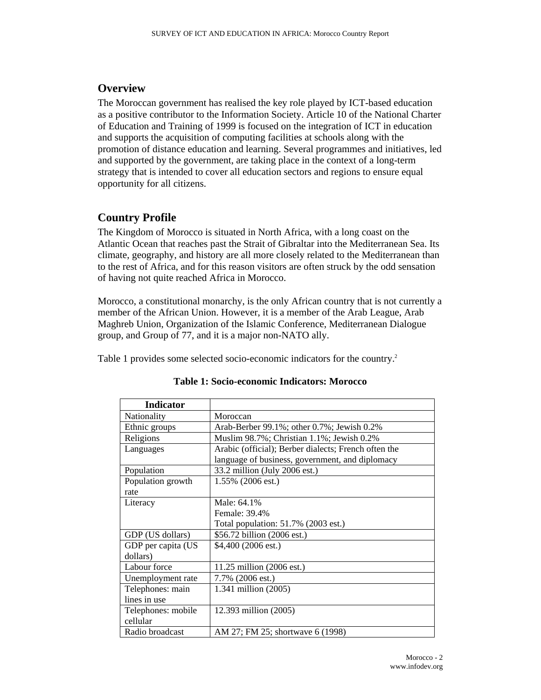### **Overview**

The Moroccan government has realised the key role played by ICT-based education as a positive contributor to the Information Society. Article 10 of the National Charter of Education and Training of 1999 is focused on the integration of ICT in education and supports the acquisition of computing facilities at schools along with the promotion of distance education and learning. Several programmes and initiatives, led and supported by the government, are taking place in the context of a long-term strategy that is intended to cover all education sectors and regions to ensure equal opportunity for all citizens.

### **Country Profile**

The Kingdom of Morocco is situated in North Africa, with a long coast on the Atlantic Ocean that reaches past the Strait of Gibraltar into the Mediterranean Sea. Its climate, geography, and history are all more closely related to the Mediterranean than to the rest of Africa, and for this reason visitors are often struck by the odd sensation of having not quite reached Africa in Morocco.

Morocco, a constitutional monarchy, is the only African country that is not currently a member of the African Union. However, it is a member of the Arab League, Arab Maghreb Union, Organization of the Islamic Conference, Mediterranean Dialogue group, and Group of 77, and it is a major non-NATO ally.

Table 1 provides some selected socio-economic indicators for the country.<sup>2</sup>

| <b>Indicator</b>   |                                                      |
|--------------------|------------------------------------------------------|
| Nationality        | Moroccan                                             |
| Ethnic groups      | Arab-Berber 99.1%; other 0.7%; Jewish 0.2%           |
| Religions          | Muslim 98.7%; Christian 1.1%; Jewish 0.2%            |
| Languages          | Arabic (official); Berber dialects; French often the |
|                    | language of business, government, and diplomacy      |
| Population         | 33.2 million (July 2006 est.)                        |
| Population growth  | 1.55% (2006 est.)                                    |
| rate               |                                                      |
| Literacy           | Male: 64.1%                                          |
|                    | Female: 39.4%                                        |
|                    | Total population: 51.7% (2003 est.)                  |
| GDP (US dollars)   | \$56.72 billion (2006 est.)                          |
| GDP per capita (US | $$4,400(2006 \text{ est.})$                          |
| dollars)           |                                                      |
| Labour force       | 11.25 million (2006 est.)                            |
| Unemployment rate  | 7.7% (2006 est.)                                     |
| Telephones: main   | 1.341 million (2005)                                 |
| lines in use       |                                                      |
| Telephones: mobile | 12.393 million (2005)                                |
| cellular           |                                                      |
| Radio broadcast    | AM 27; FM 25; shortwave 6 (1998)                     |

#### **Table 1: Socio-economic Indicators: Morocco**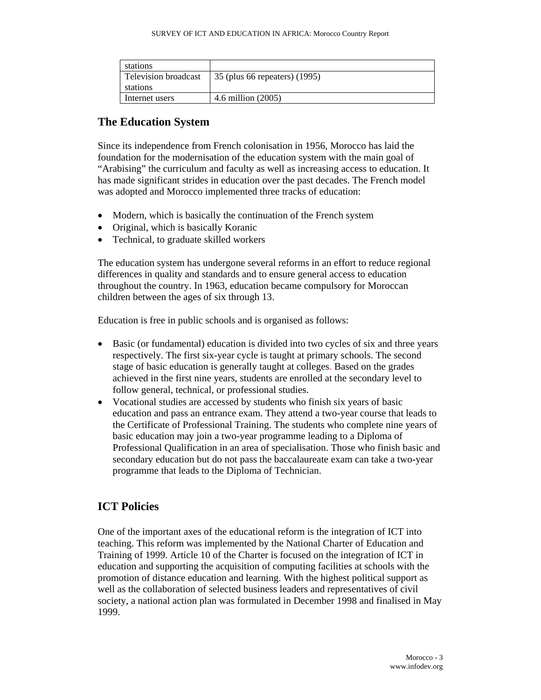| stations             |                               |
|----------------------|-------------------------------|
| Television broadcast | 35 (plus 66 repeaters) (1995) |
| stations             |                               |
| Internet users       | 4.6 million (2005)            |

### **The Education System**

Since its independence from French colonisation in 1956, Morocco has laid the foundation for the modernisation of the education system with the main goal of "Arabising" the curriculum and faculty as well as increasing access to education. It has made significant strides in education over the past decades. The French model was adopted and Morocco implemented three tracks of education:

- Modern, which is basically the continuation of the French system
- Original, which is basically Koranic
- Technical, to graduate skilled workers

The education system has undergone several reforms in an effort to reduce regional differences in quality and standards and to ensure general access to education throughout the country. In 1963, education became compulsory for Moroccan children between the ages of six through 13.

Education is free in public schools and is organised as follows:

- Basic (or fundamental) education is divided into two cycles of six and three years respectively. The first six-year cycle is taught at primary schools. The second stage of basic education is generally taught at colleges. Based on the grades achieved in the first nine years, students are enrolled at the secondary level to follow general, technical, or professional studies.
- Vocational studies are accessed by students who finish six years of basic education and pass an entrance exam. They attend a two-year course that leads to the Certificate of Professional Training. The students who complete nine years of basic education may join a two-year programme leading to a Diploma of Professional Qualification in an area of specialisation. Those who finish basic and secondary education but do not pass the baccalaureate exam can take a two-year programme that leads to the Diploma of Technician.

### **ICT Policies**

One of the important axes of the educational reform is the integration of ICT into teaching. This reform was implemented by the National Charter of Education and Training of 1999. Article 10 of the Charter is focused on the integration of ICT in education and supporting the acquisition of computing facilities at schools with the promotion of distance education and learning. With the highest political support as well as the collaboration of selected business leaders and representatives of civil society, a national action plan was formulated in December 1998 and finalised in May 1999.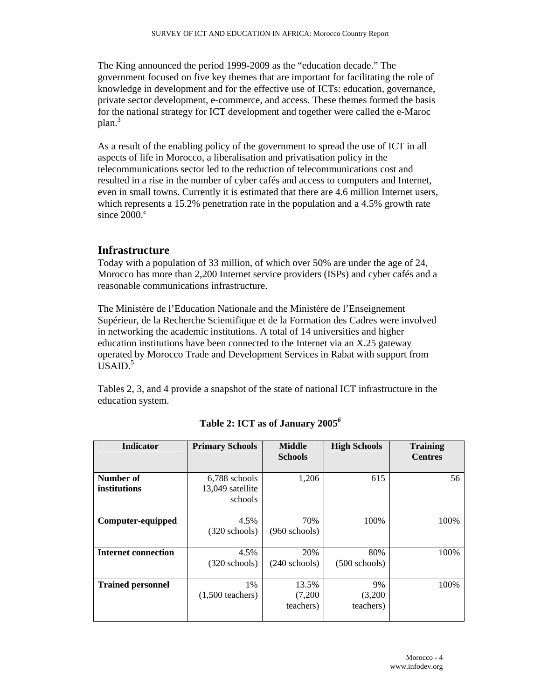The King announced the period 1999-2009 as the "education decade." The government focused on five key themes that are important for facilitating the role of knowledge in development and for the effective use of ICTs: education, governance, private sector development, e-commerce, and access. These themes formed the basis for the national strategy for ICT development and together were called the e-Maroc plan.<sup>3</sup>

As a result of the enabling policy of the government to spread the use of ICT in all aspects of life in Morocco, a liberalisation and privatisation policy in the telecommunications sector led to the reduction of telecommunications cost and resulted in a rise in the number of cyber cafés and access to computers and Internet, even in small towns. Currently it is estimated that there are 4.6 million Internet users, which represents a 15.2% penetration rate in the population and a 4.5% growth rate since 2000.4

#### **Infrastructure**

Today with a population of 33 million, of which over 50% are under the age of 24, Morocco has more than 2,200 Internet service providers (ISPs) and cyber cafés and a reasonable communications infrastructure.

The Ministère de l'Education Nationale and the Ministère de l'Enseignement Supérieur, de la Recherche Scientifique et de la Formation des Cadres were involved in networking the academic institutions. A total of 14 universities and higher education institutions have been connected to the Internet via an X.25 gateway operated by Morocco Trade and Development Services in Rabat with support from  $\overline{USAID.}^5$ 

Tables 2, 3, and 4 provide a snapshot of the state of national ICT infrastructure in the education system.

| <b>Indicator</b>           | <b>Primary Schools</b>                       | <b>Middle</b><br><b>Schools</b> | <b>High Schools</b>        | <b>Training</b><br><b>Centres</b> |
|----------------------------|----------------------------------------------|---------------------------------|----------------------------|-----------------------------------|
| Number of<br>institutions  | 6,788 schools<br>13,049 satellite<br>schools | 1,206                           | 615                        | 56                                |
| Computer-equipped          | 4.5%<br>$(320$ schools)                      | 70%<br>$(960$ schools)          | 100%                       | 100%                              |
| <b>Internet connection</b> | 4.5%<br>(320 schools)                        | 20%<br>$(240$ schools)          | 80%<br>$(500$ schools)     | 100%                              |
| <b>Trained personnel</b>   | 1%<br>$(1,500$ teachers)                     | 13.5%<br>(7,200)<br>teachers)   | 9%<br>(3,200)<br>teachers) | 100%                              |

**Table 2: ICT as of January 2005***<sup>6</sup>*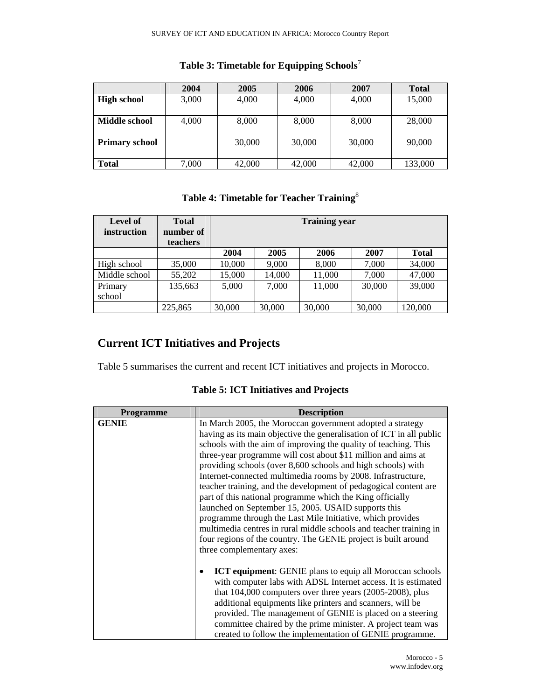|                       | 2004  | 2005   | 2006   | 2007   | <b>Total</b> |
|-----------------------|-------|--------|--------|--------|--------------|
| <b>High school</b>    | 3,000 | 4,000  | 4,000  | 4,000  | 15,000       |
|                       |       |        |        |        |              |
| Middle school         | 4.000 | 8,000  | 8,000  | 8,000  | 28,000       |
|                       |       |        |        |        |              |
| <b>Primary school</b> |       | 30,000 | 30,000 | 30,000 | 90,000       |
|                       |       |        |        |        |              |
| <b>Total</b>          | 7,000 | 42,000 | 42,000 | 42,000 | 133,000      |

### **Table 3: Timetable for Equipping Schools**<sup>7</sup>

### **Table 4: Timetable for Teacher Training**<sup>8</sup>

| <b>Level of</b><br>instruction | <b>Total</b><br>number of<br>teachers | <b>Training year</b> |        |        |        |              |
|--------------------------------|---------------------------------------|----------------------|--------|--------|--------|--------------|
|                                |                                       | 2004                 | 2005   | 2006   | 2007   | <b>Total</b> |
| High school                    | 35,000                                | 10,000               | 9,000  | 8,000  | 7,000  | 34,000       |
| Middle school                  | 55,202                                | 15,000               | 14,000 | 11,000 | 7,000  | 47,000       |
| Primary                        | 135,663                               | 5,000                | 7.000  | 11,000 | 30,000 | 39,000       |
| school                         |                                       |                      |        |        |        |              |
|                                | 225,865                               | 30,000               | 30,000 | 30,000 | 30,000 | 120,000      |

# **Current ICT Initiatives and Projects**

Table 5 summarises the current and recent ICT initiatives and projects in Morocco.

**Table 5: ICT Initiatives and Projects** 

| <b>Programme</b> | <b>Description</b>                                                                                                                                                                                                                                                                                                                                                                                                                                                                                                                                                                                                                                                                                                                                                                                                               |
|------------------|----------------------------------------------------------------------------------------------------------------------------------------------------------------------------------------------------------------------------------------------------------------------------------------------------------------------------------------------------------------------------------------------------------------------------------------------------------------------------------------------------------------------------------------------------------------------------------------------------------------------------------------------------------------------------------------------------------------------------------------------------------------------------------------------------------------------------------|
| <b>GENIE</b>     | In March 2005, the Moroccan government adopted a strategy<br>having as its main objective the generalisation of ICT in all public<br>schools with the aim of improving the quality of teaching. This<br>three-year programme will cost about \$11 million and aims at<br>providing schools (over 8,600 schools and high schools) with<br>Internet-connected multimedia rooms by 2008. Infrastructure,<br>teacher training, and the development of pedagogical content are<br>part of this national programme which the King officially<br>launched on September 15, 2005. USAID supports this<br>programme through the Last Mile Initiative, which provides<br>multimedia centres in rural middle schools and teacher training in<br>four regions of the country. The GENIE project is built around<br>three complementary axes: |
|                  | <b>ICT equipment:</b> GENIE plans to equip all Moroccan schools<br>with computer labs with ADSL Internet access. It is estimated<br>that $104,000$ computers over three years $(2005-2008)$ , plus<br>additional equipments like printers and scanners, will be<br>provided. The management of GENIE is placed on a steering<br>committee chaired by the prime minister. A project team was<br>created to follow the implementation of GENIE programme.                                                                                                                                                                                                                                                                                                                                                                          |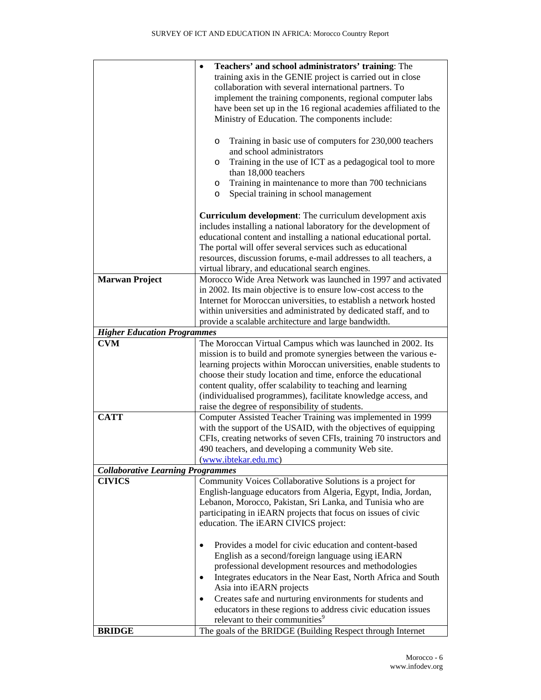|                                          | Teachers' and school administrators' training: The                                                                                  |
|------------------------------------------|-------------------------------------------------------------------------------------------------------------------------------------|
|                                          | training axis in the GENIE project is carried out in close                                                                          |
|                                          | collaboration with several international partners. To                                                                               |
|                                          | implement the training components, regional computer labs                                                                           |
|                                          | have been set up in the 16 regional academies affiliated to the                                                                     |
|                                          | Ministry of Education. The components include:                                                                                      |
|                                          | Training in basic use of computers for 230,000 teachers<br>$\circ$                                                                  |
|                                          | and school administrators                                                                                                           |
|                                          | Training in the use of ICT as a pedagogical tool to more<br>O<br>than 18,000 teachers                                               |
|                                          | Training in maintenance to more than 700 technicians<br>O<br>Special training in school management<br>O                             |
|                                          | <b>Curriculum development:</b> The curriculum development axis                                                                      |
|                                          | includes installing a national laboratory for the development of                                                                    |
|                                          | educational content and installing a national educational portal.                                                                   |
|                                          | The portal will offer several services such as educational                                                                          |
|                                          | resources, discussion forums, e-mail addresses to all teachers, a                                                                   |
|                                          | virtual library, and educational search engines.                                                                                    |
| <b>Marwan Project</b>                    | Morocco Wide Area Network was launched in 1997 and activated                                                                        |
|                                          | in 2002. Its main objective is to ensure low-cost access to the                                                                     |
|                                          | Internet for Moroccan universities, to establish a network hosted                                                                   |
|                                          | within universities and administrated by dedicated staff, and to                                                                    |
|                                          | provide a scalable architecture and large bandwidth.                                                                                |
| <b>Higher Education Programmes</b>       |                                                                                                                                     |
| <b>CVM</b>                               | The Moroccan Virtual Campus which was launched in 2002. Its                                                                         |
|                                          | mission is to build and promote synergies between the various e-                                                                    |
|                                          | learning projects within Moroccan universities, enable students to<br>choose their study location and time, enforce the educational |
|                                          | content quality, offer scalability to teaching and learning                                                                         |
|                                          | (individualised programmes), facilitate knowledge access, and                                                                       |
|                                          | raise the degree of responsibility of students.                                                                                     |
| <b>CATT</b>                              | Computer Assisted Teacher Training was implemented in 1999                                                                          |
|                                          | with the support of the USAID, with the objectives of equipping                                                                     |
|                                          | CFIs, creating networks of seven CFIs, training 70 instructors and                                                                  |
|                                          | 490 teachers, and developing a community Web site.                                                                                  |
|                                          | (www.ibtekar.edu.mc)                                                                                                                |
| <b>Collaborative Learning Programmes</b> |                                                                                                                                     |
| <b>CIVICS</b>                            | Community Voices Collaborative Solutions is a project for                                                                           |
|                                          | English-language educators from Algeria, Egypt, India, Jordan,                                                                      |
|                                          | Lebanon, Morocco, Pakistan, Sri Lanka, and Tunisia who are                                                                          |
|                                          | participating in iEARN projects that focus on issues of civic                                                                       |
|                                          | education. The iEARN CIVICS project:                                                                                                |
|                                          | Provides a model for civic education and content-based                                                                              |
|                                          | English as a second/foreign language using iEARN                                                                                    |
|                                          | professional development resources and methodologies                                                                                |
|                                          | Integrates educators in the Near East, North Africa and South                                                                       |
|                                          | Asia into iEARN projects                                                                                                            |
|                                          | Creates safe and nurturing environments for students and                                                                            |
|                                          | educators in these regions to address civic education issues                                                                        |
|                                          | relevant to their communities <sup>9</sup>                                                                                          |
| <b>BRIDGE</b>                            | The goals of the BRIDGE (Building Respect through Internet                                                                          |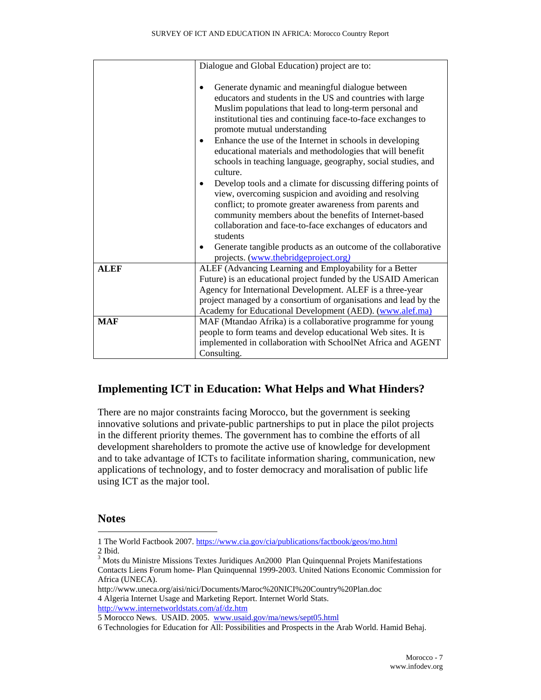|             | Dialogue and Global Education) project are to:                                                                                                                                                                                                                                                                                                                                                                                                                              |  |  |
|-------------|-----------------------------------------------------------------------------------------------------------------------------------------------------------------------------------------------------------------------------------------------------------------------------------------------------------------------------------------------------------------------------------------------------------------------------------------------------------------------------|--|--|
|             |                                                                                                                                                                                                                                                                                                                                                                                                                                                                             |  |  |
|             | Generate dynamic and meaningful dialogue between<br>educators and students in the US and countries with large<br>Muslim populations that lead to long-term personal and<br>institutional ties and continuing face-to-face exchanges to<br>promote mutual understanding<br>Enhance the use of the Internet in schools in developing<br>educational materials and methodologies that will benefit<br>schools in teaching language, geography, social studies, and<br>culture. |  |  |
|             | Develop tools and a climate for discussing differing points of<br>view, overcoming suspicion and avoiding and resolving<br>conflict; to promote greater awareness from parents and<br>community members about the benefits of Internet-based<br>collaboration and face-to-face exchanges of educators and<br>students<br>Generate tangible products as an outcome of the collaborative<br>projects. (www.thebridgeproject.org)                                              |  |  |
| <b>ALEF</b> | ALEF (Advancing Learning and Employability for a Better<br>Future) is an educational project funded by the USAID American<br>Agency for International Development. ALEF is a three-year<br>project managed by a consortium of organisations and lead by the<br>Academy for Educational Development (AED). (www.alef.ma)                                                                                                                                                     |  |  |
| <b>MAF</b>  | MAF (Mtandao Afrika) is a collaborative programme for young<br>people to form teams and develop educational Web sites. It is<br>implemented in collaboration with SchoolNet Africa and AGENT<br>Consulting.                                                                                                                                                                                                                                                                 |  |  |

### **Implementing ICT in Education: What Helps and What Hinders?**

There are no major constraints facing Morocco, but the government is seeking innovative solutions and private-public partnerships to put in place the pilot projects in the different priority themes. The government has to combine the efforts of all development shareholders to promote the active use of knowledge for development and to take advantage of ICTs to facilitate information sharing, communication, new applications of technology, and to foster democracy and moralisation of public life using ICT as the major tool.

### **Notes**

 $\overline{\phantom{a}}$ 

<sup>1</sup> The World Factbook 2007. https://www.cia.gov/cia/publications/factbook/geos/mo.html 2 Ibid.

<sup>&</sup>lt;sup>3</sup> Mots du Ministre Missions Textes Juridiques An2000 Plan Quinquennal Projets Manifestations Contacts Liens Forum home- Plan Quinquennal 1999-2003. United Nations Economic Commission for Africa (UNECA).

http://www.uneca.org/aisi/nici/Documents/Maroc%20NICI%20Country%20Plan.doc 4 Algeria Internet Usage and Marketing Report. Internet World Stats. http://www.internetworldstats.com/af/dz.htm

<sup>5</sup> Morocco News. USAID. 2005. www.usaid.gov/ma/news/sept05.html

<sup>6</sup> Technologies for Education for All: Possibilities and Prospects in the Arab World. Hamid Behaj.